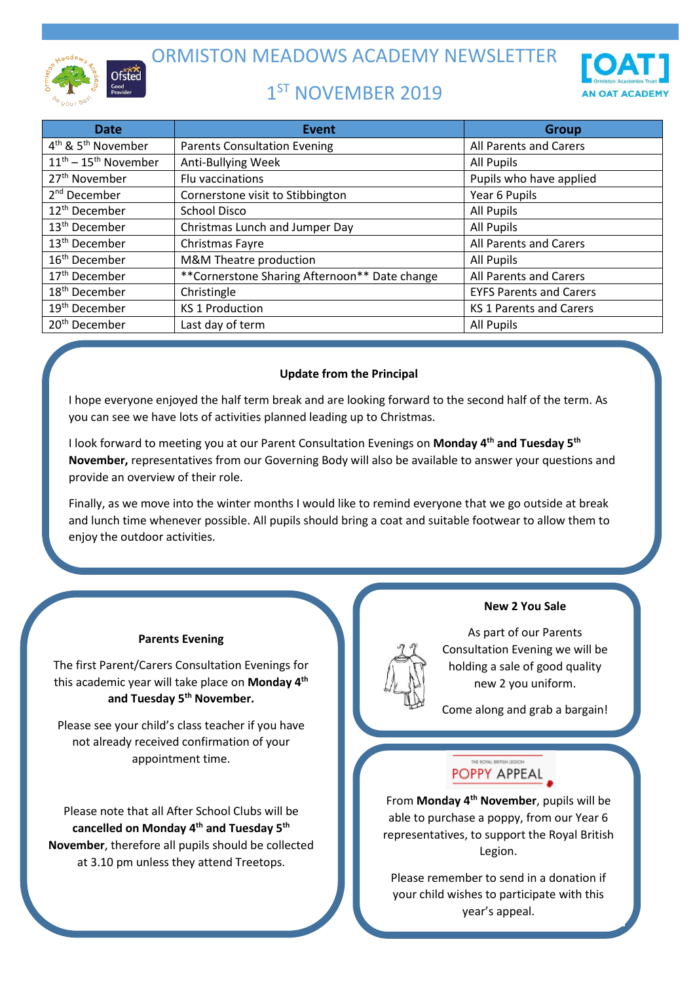

ORMISTON MEADOWS ACADEMY NEWSLETTER

# 1<sup>ST</sup> NOVEMBER 2019



| <b>Date</b>                                | <b>Event</b>                                  | <b>Group</b>                   |
|--------------------------------------------|-----------------------------------------------|--------------------------------|
| 4 <sup>th</sup> & 5 <sup>th</sup> November | <b>Parents Consultation Evening</b>           | All Parents and Carers         |
| $11^{\text{th}} - 15^{\text{th}}$ November | Anti-Bullying Week                            | All Pupils                     |
| 27 <sup>th</sup> November                  | Flu vaccinations                              | Pupils who have applied        |
| 2 <sup>nd</sup> December                   | Cornerstone visit to Stibbington              | Year 6 Pupils                  |
| 12 <sup>th</sup> December                  | <b>School Disco</b>                           | All Pupils                     |
| 13 <sup>th</sup> December                  | Christmas Lunch and Jumper Day                | All Pupils                     |
| 13 <sup>th</sup> December                  | Christmas Fayre                               | All Parents and Carers         |
| 16 <sup>th</sup> December                  | M&M Theatre production                        | All Pupils                     |
| 17 <sup>th</sup> December                  | **Cornerstone Sharing Afternoon** Date change | All Parents and Carers         |
| 18 <sup>th</sup> December                  | Christingle                                   | <b>EYFS Parents and Carers</b> |
| 19 <sup>th</sup> December                  | <b>KS 1 Production</b>                        | <b>KS 1 Parents and Carers</b> |
| 20 <sup>th</sup> December                  | Last day of term                              | All Pupils                     |

# **Update from the Principal**

I hope everyone enjoyed the half term break and are looking forward to the second half of the term. As you can see we have lots of activities planned leading up to Christmas.

I look forward to meeting you at our Parent Consultation Evenings on **Monday 4th and Tuesday 5th November,** representatives from our Governing Body will also be available to answer your questions and provide an overview of their role.

Finally, as we move into the winter months I would like to remind everyone that we go outside at break and lunch time whenever possible. All pupils should bring a coat and suitable footwear to allow them to enjoy the outdoor activities.

### **Parents Evening**

The first Parent/Carers Consultation Evenings for this academic year will take place on **Monday 4th and Tuesday 5th November.**

Please see your child's class teacher if you have not already received confirmation of your appointment time.

Please note that all After School Clubs will be **cancelled on Monday 4 th and Tuesday 5th November**, therefore all pupils should be collected at 3.10 pm unless they attend Treetops.

## **New 2 You Sale**

As part of our Parents Consultation Evening we will be holding a sale of good quality new 2 you uniform.

Come along and grab a bargain!

# POPPY APPEAL

From **Monday 4th November**, pupils will be able to purchase a poppy, from our Year 6 representatives, to support the Royal British Legion.

Please remember to send in a donation if your child wishes to participate with this year's appeal.